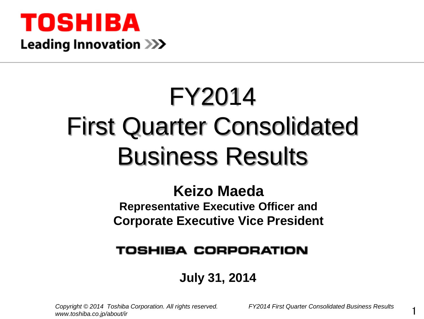

# FY2014 First Quarter Consolidated Business Results

## **Keizo Maeda**

**Representative Executive Officer and Corporate Executive Vice President** 

## **TOSHIBA CORPORATION**

## **July 31, 2014**

*Copyright © 2014 Toshiba Corporation. All rights reserved. FY2014 First Quarter Consolidated Business Results www.toshiba.co.jp/about/ir*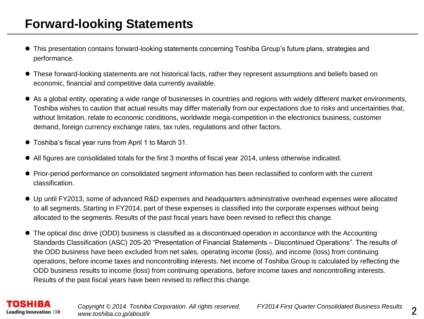### **Forward-looking Statements**

- This presentation contains forward-looking statements concerning Toshiba Group's future plans, strategies and performance.
- These forward-looking statements are not historical facts, rather they represent assumptions and beliefs based on economic, financial and competitive data currently available.
- As a global entity, operating a wide range of businesses in countries and regions with widely different market environments, Toshiba wishes to caution that actual results may differ materially from our expectations due to risks and uncertainties that, without limitation, relate to economic conditions, worldwide mega-competition in the electronics business, customer demand, foreign currency exchange rates, tax rules, regulations and other factors.
- Toshiba's fiscal year runs from April 1 to March 31.
- All figures are consolidated totals for the first 3 months of fiscal year 2014, unless otherwise indicated.
- Prior-period performance on consolidated segment information has been reclassified to conform with the current classification.
- Up until FY2013, some of advanced R&D expenses and headquarters administrative overhead expenses were allocated to all segments. Starting in FY2014, part of these expenses is classified into the corporate expenses without being allocated to the segments. Results of the past fiscal years have been revised to reflect this change.
- The optical disc drive (ODD) business is classified as a discontinued operation in accordance with the Accounting Standards Classification (ASC) 205-20 "Presentation of Financial Statements – Discontinued Operations". The results of the ODD business have been excluded from net sales, operating income (loss), and income (loss) from continuing operations, before income taxes and noncontrolling interests. Net income of Toshiba Group is calculated by reflecting the ODD business results to income (loss) from continuing operations, before income taxes and noncontrolling interests. Results of the past fiscal years have been revised to reflect this change.

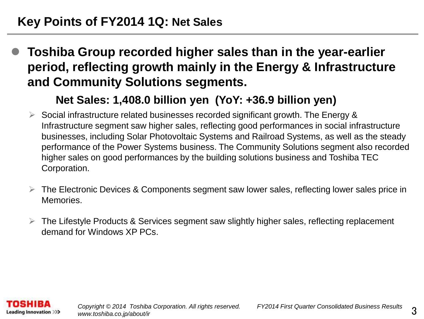**Toshiba Group recorded higher sales than in the year-earlier period, reflecting growth mainly in the Energy & Infrastructure and Community Solutions segments.**

#### **Net Sales: 1,408.0 billion yen (YoY: +36.9 billion yen)**

- $\triangleright$  Social infrastructure related businesses recorded significant growth. The Energy & Infrastructure segment saw higher sales, reflecting good performances in social infrastructure businesses, including Solar Photovoltaic Systems and Railroad Systems, as well as the steady performance of the Power Systems business. The Community Solutions segment also recorded higher sales on good performances by the building solutions business and Toshiba TEC Corporation.
- $\triangleright$  The Electronic Devices & Components segment saw lower sales, reflecting lower sales price in Memories.
- $\triangleright$  The Lifestyle Products & Services segment saw slightly higher sales, reflecting replacement demand for Windows XP PCs.

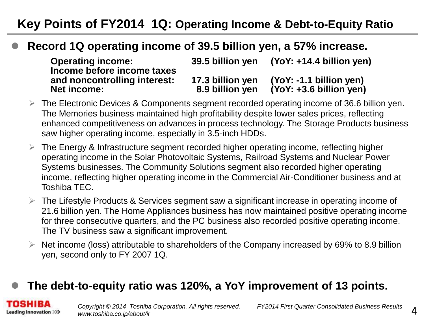## **Key Points of FY2014 1Q: Operating Income & Debt-to-Equity Ratio**

#### **Record 1Q operating income of 39.5 billion yen, a 57% increase.**

| <b>Operating income:</b>                                                         | 39.5 billion yen                    | $(YoY: +14.4$ billion yen)                           |
|----------------------------------------------------------------------------------|-------------------------------------|------------------------------------------------------|
| Income before income taxes<br>and noncontrolling interest:<br><b>Net income:</b> | 17.3 billion yen<br>8.9 billion ven | (YoY: -1.1 billion yen)<br>$(YoY: +3.6 billion$ yen) |

- $\triangleright$  The Electronic Devices & Components segment recorded operating income of 36.6 billion yen. The Memories business maintained high profitability despite lower sales prices, reflecting enhanced competitiveness on advances in process technology. The Storage Products business saw higher operating income, especially in 3.5-inch HDDs.
- $\triangleright$  The Energy & Infrastructure segment recorded higher operating income, reflecting higher operating income in the Solar Photovoltaic Systems, Railroad Systems and Nuclear Power Systems businesses. The Community Solutions segment also recorded higher operating income, reflecting higher operating income in the Commercial Air-Conditioner business and at Toshiba TEC.
- $\triangleright$  The Lifestyle Products & Services segment saw a significant increase in operating income of 21.6 billion yen. The Home Appliances business has now maintained positive operating income for three consecutive quarters, and the PC business also recorded positive operating income. The TV business saw a significant improvement.
- $\triangleright$  Net income (loss) attributable to shareholders of the Company increased by 69% to 8.9 billion yen, second only to FY 2007 1Q.

#### **The debt-to-equity ratio was 120%, a YoY improvement of 13 points.**

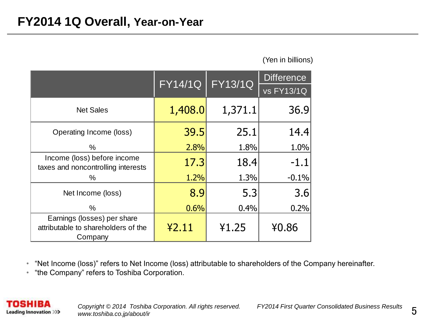(Yen in billions)

|                                                                               | <b>FY13/1Q</b><br><b>FY14/1Q</b> |         | <b>Difference</b> |
|-------------------------------------------------------------------------------|----------------------------------|---------|-------------------|
|                                                                               |                                  |         | <b>vs FY13/1Q</b> |
| <b>Net Sales</b>                                                              | 1,408.0                          | 1,371.1 | 36.9              |
| Operating Income (loss)                                                       | 39.5                             | 25.1    | 14.4              |
| $\%$                                                                          | 2.8%                             | 1.8%    | 1.0%              |
| Income (loss) before income<br>taxes and noncontrolling interests             | 17.3                             | 18.4    | $-1.1$            |
| $\%$                                                                          | 1.2%                             | 1.3%    | $-0.1%$           |
| Net Income (loss)                                                             | 8.9                              | 5.3     | 3.6               |
| $\%$                                                                          | 0.6%                             | 0.4%    | 0.2%              |
| Earnings (losses) per share<br>attributable to shareholders of the<br>Company | 42.11                            | ¥1.25   | ¥0.86             |

• "Net Income (loss)" refers to Net Income (loss) attributable to shareholders of the Company hereinafter.

• "the Company" refers to Toshiba Corporation.



*Copyright © 2014 Toshiba Corporation. All rights reserved. FY2014 First Quarter Consolidated Business Results www.toshiba.co.jp/about/ir*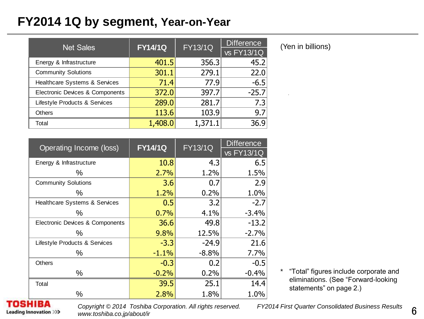#### **FY2014 1Q by segment, Year-on-Year**

| <b>Net Sales</b>                | <b>FY14/1Q</b> | <b>FY13/1Q</b> | <b>Difference</b> |  |
|---------------------------------|----------------|----------------|-------------------|--|
|                                 |                |                | vs FY13/1Q        |  |
| Energy & Infrastructure         | 401.5          | 356.3          | 45.2              |  |
| <b>Community Solutions</b>      | 301.1          | 279.1          | 22.0              |  |
| Healthcare Systems & Services   | 71.4           | 77.9           | $-6.5$            |  |
| Electronic Devices & Components | 372.0          | 397.7          | $-25.7$           |  |
| Lifestyle Products & Services   | 289.0          | 281.7          | 7.3               |  |
| <b>Others</b>                   | 113.6          | 103.9          | 9.7               |  |
| Total                           | 1,408.0        | 1,371.1        | 36.9              |  |

| Operating Income (loss)         | <b>FY14/1Q</b> | <b>FY13/1Q</b> | <b>Difference</b> |  |
|---------------------------------|----------------|----------------|-------------------|--|
|                                 |                |                | vs FY13/1Q        |  |
| Energy & Infrastructure         | 10.8           | 4.3            | 6.5               |  |
| ℅                               | 2.7%           | 1.2%           | 1.5%              |  |
| <b>Community Solutions</b>      | 3.6            | 0.7            | 2.9               |  |
| ℅                               | 1.2%           | 0.2%           | 1.0%              |  |
| Healthcare Systems & Services   | 0.5            | 3.2            | $-2.7$            |  |
| ℅                               | 0.7%           | 4.1%           | $-3.4%$           |  |
| Electronic Devices & Components | 36.6           | 49.8           | $-13.2$           |  |
| ℅                               | 9.8%           | 12.5%          | $-2.7%$           |  |
| Lifestyle Products & Services   | $-3.3$         | $-24.9$        | 21.6              |  |
| ℅                               | $-1.1%$        | $-8.8%$        | 7.7%              |  |
| Others                          | $-0.3$         | 0.2            | $-0.5$            |  |
| %                               | $-0.2%$        | 0.2%           | $-0.4%$           |  |
| Total                           | 39.5           | 25.1           | 14.4              |  |
| ℅                               | 2.8%           | 1.8%           | 1.0%              |  |

(Yen in billions)

\* "Total" figures include corporate and eliminations. (See "Forward-looking statements" on page 2.)

ISHIRA **Leading Innovation >>>**  *Copyright © 2014 Toshiba Corporation. All rights reserved. FY2014 First Quarter Consolidated Business Results www.toshiba.co.jp/about/ir*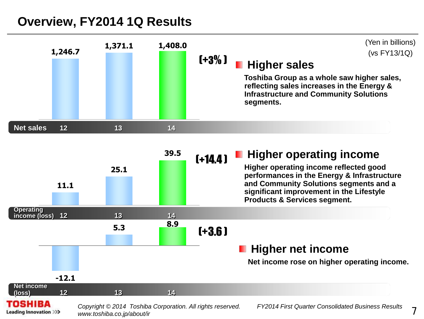#### **Overview, FY2014 1Q Results**





*www.toshiba.co.jp/about/ir*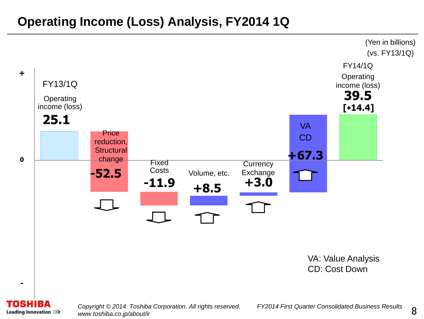## **Operating Income (Loss) Analysis, FY2014 1Q**



*Copyright © 2014 Toshiba Corporation. All rights reserved. FY2014 First Quarter Consolidated Business Results www.toshiba.co.jp/about/ir*

**Leading Innovation >>>**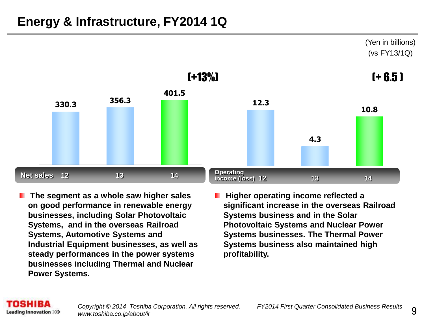## **Energy & Infrastructure, FY2014 1Q**



- **The segment as a whole saw higher sales on good performance in renewable energy businesses, including Solar Photovoltaic Systems, and in the overseas Railroad Systems, Automotive Systems and Industrial Equipment businesses, as well as steady performances in the power systems businesses including Thermal and Nuclear Power Systems.**
- **Higher operating income reflected a significant increase in the overseas Railroad Systems business and in the Solar Photovoltaic Systems and Nuclear Power Systems businesses. The Thermal Power Systems business also maintained high profitability.**

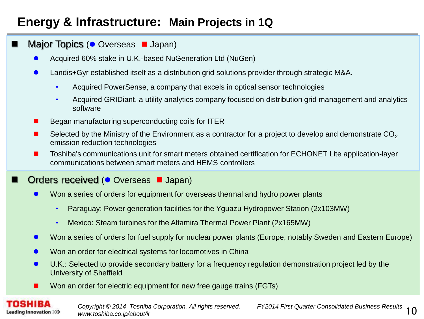## **Energy & Infrastructure: Main Projects in 1Q**

#### Major Topics ( $\bullet$  Overseas  $\blacksquare$  Japan)

- Acquired 60% stake in U.K.-based NuGeneration Ltd (NuGen)
- Landis+Gyr established itself as a distribution grid solutions provider through strategic M&A.
	- Acquired PowerSense, a company that excels in optical sensor technologies
	- Acquired GRIDiant, a utility analytics company focused on distribution grid management and analytics software
- Began manufacturing superconducting coils for ITER
- Selected by the Ministry of the Environment as a contractor for a project to develop and demonstrate  $CO<sub>2</sub>$ emission reduction technologies
- Toshiba's communications unit for smart meters obtained certification for ECHONET Lite application-layer communications between smart meters and HEMS controllers

#### Orders received ( Overseas **J** Japan)

- Won a series of orders for equipment for overseas thermal and hydro power plants
	- Paraguay: Power generation facilities for the Yguazu Hydropower Station (2x103MW)
	- Mexico: Steam turbines for the Altamira Thermal Power Plant (2x165MW)
- Won a series of orders for fuel supply for nuclear power plants (Europe, notably Sweden and Eastern Europe)
- Won an order for electrical systems for locomotives in China
- U.K.: Selected to provide secondary battery for a frequency regulation demonstration project led by the University of Sheffield
- **Non an order for electric equipment for new free gauge trains (FGTs)**

**Leading Innovation >>>**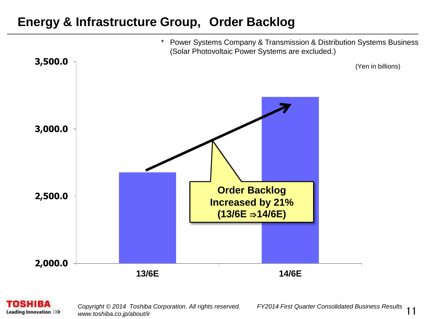#### **Energy & Infrastructure Group, Order Backlog**



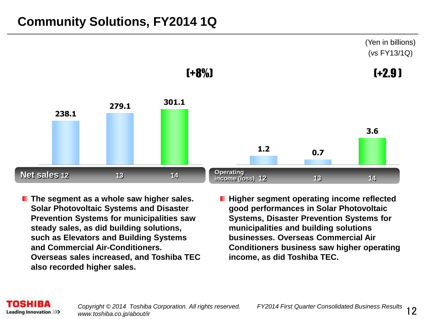## **Community Solutions, FY2014 1Q**



- **The segment as a whole saw higher sales. Solar Photovoltaic Systems and Disaster Prevention Systems for municipalities saw steady sales, as did building solutions, such as Elevators and Building Systems and Commercial Air-Conditioners. Overseas sales increased, and Toshiba TEC also recorded higher sales.**
- **Higher segment operating income reflected good performances in Solar Photovoltaic Systems, Disaster Prevention Systems for municipalities and building solutions businesses. Overseas Commercial Air Conditioners business saw higher operating income, as did Toshiba TEC.**

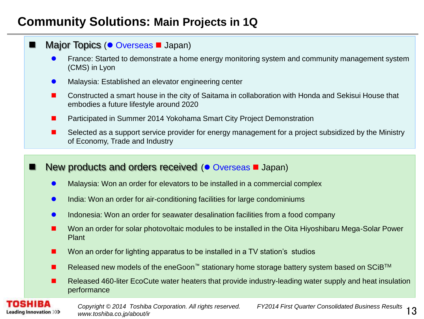### **Community Solutions: Main Projects in 1Q**

| Major Topics (● Overseas ■ Japan)                                                                                                              |
|------------------------------------------------------------------------------------------------------------------------------------------------|
| France: Started to demonstrate a home energy monitoring system and community management system<br>(CMS) in Lyon                                |
| Malaysia: Established an elevator engineering center                                                                                           |
| Constructed a smart house in the city of Saitama in collaboration with Honda and Sekisui House that<br>embodies a future lifestyle around 2020 |
| Participated in Summer 2014 Yokohama Smart City Project Demonstration                                                                          |
| Selected as a support service provider for energy management for a project subsidized by the Ministry<br>of Economy, Trade and Industry        |
|                                                                                                                                                |
| New products and orders received ( $\bullet$ Overseas $\blacksquare$ Japan)                                                                    |
| Malaysia: Won an order for elevators to be installed in a commercial complex                                                                   |
| India: Won an order for air-conditioning facilities for large condominiums<br>$\bullet$                                                        |
| Indonesia: Won an order for seawater desalination facilities from a food company                                                               |
| Won an order for solar photovoltaic modules to be installed in the Oita Hiyoshibaru Mega-Solar Power<br>ш<br>Plant                             |
| Won an order for lighting apparatus to be installed in a TV station's studios                                                                  |
| Released new models of the eneGoon™ stationary home storage battery system based on SCiB <sup>™</sup><br>ш                                     |
| Released 460-liter EcoCute water heaters that provide industry-leading water supply and heat insulation<br>ш<br>performance                    |

**TOSHIBA Leading Innovation >>>**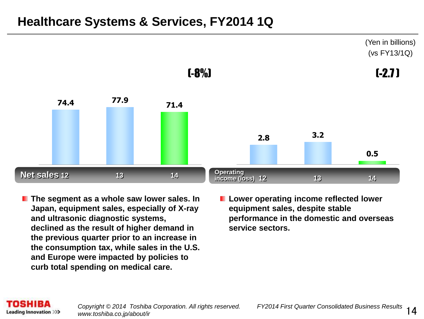#### **Healthcare Systems & Services, FY2014 1Q**



- **The segment as a whole saw lower sales. In Japan, equipment sales, especially of X-ray and ultrasonic diagnostic systems, declined as the result of higher demand in the previous quarter prior to an increase in the consumption tax, while sales in the U.S. and Europe were impacted by policies to curb total spending on medical care.**
- **Lower operating income reflected lower equipment sales, despite stable performance in the domestic and overseas service sectors.**

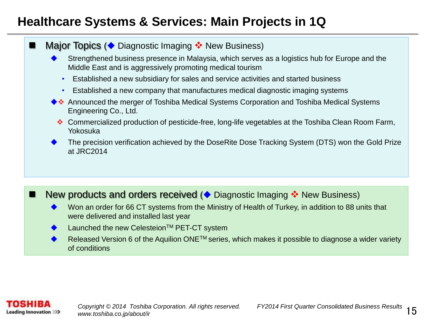## **Healthcare Systems & Services: Main Projects in 1Q**

#### **Major Topics (** $\blacklozenge$  Diagnostic Imaging  $\blacklozenge$  New Business)

- Strengthened business presence in Malaysia, which serves as a logistics hub for Europe and the Middle East and is aggressively promoting medical tourism
	- Established a new subsidiary for sales and service activities and started business
	- Established a new company that manufactures medical diagnostic imaging systems
- ◆ ◆ Announced the merger of Toshiba Medical Systems Corporation and Toshiba Medical Systems Engineering Co., Ltd.
	- Commercialized production of pesticide-free, long-life vegetables at the Toshiba Clean Room Farm, Yokosuka
- The precision verification achieved by the DoseRite Dose Tracking System (DTS) won the Gold Prize at JRC2014

#### New products and orders received (♦ Diagnostic Imaging • New Business)

- Won an order for 66 CT systems from the Ministry of Health of Turkey, in addition to 88 units that were delivered and installed last year
- Launched the new Celesteion<sup>™</sup> PET-CT system
- Released Version 6 of the Aquilion ONE™ series, which makes it possible to diagnose a wider variety of conditions

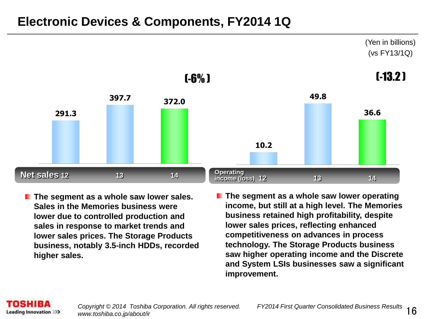#### **Electronic Devices & Components, FY2014 1Q**



- **The segment as a whole saw lower sales. Sales in the Memories business were lower due to controlled production and sales in response to market trends and lower sales prices. The Storage Products business, notably 3.5-inch HDDs, recorded higher sales.**
- **The segment as a whole saw lower operating income, but still at a high level. The Memories business retained high profitability, despite lower sales prices, reflecting enhanced competitiveness on advances in process technology. The Storage Products business saw higher operating income and the Discrete and System LSIs businesses saw a significant improvement.**

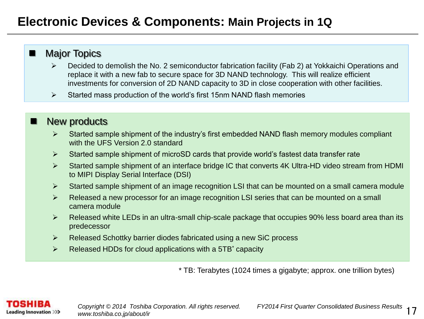#### **Electronic Devices & Components: Main Projects in 1Q**

#### **Major Topics**

- Decided to demolish the No. 2 semiconductor fabrication facility (Fab 2) at Yokkaichi Operations and replace it with a new fab to secure space for 3D NAND technology. This will realize efficient investments for conversion of 2D NAND capacity to 3D in close cooperation with other facilities.
- $\triangleright$  Started mass production of the world's first 15nm NAND flash memories

#### New products

- $\triangleright$  Started sample shipment of the industry's first embedded NAND flash memory modules compliant with the UFS Version 2.0 standard
- $\triangleright$  Started sample shipment of microSD cards that provide world's fastest data transfer rate
- Started sample shipment of an interface bridge IC that converts 4K Ultra-HD video stream from HDMI to MIPI Display Serial Interface (DSI)
- $\triangleright$  Started sample shipment of an image recognition LSI that can be mounted on a small camera module
- ▶ Released a new processor for an image recognition LSI series that can be mounted on a small camera module
- Released white LEDs in an ultra-small chip-scale package that occupies 90% less board area than its predecessor
- $\triangleright$  Released Schottky barrier diodes fabricated using a new SiC process
- $\triangleright$  Released HDDs for cloud applications with a 5TB<sup>\*</sup> capacity

\* TB: Terabytes (1024 times a gigabyte; approx. one trillion bytes)

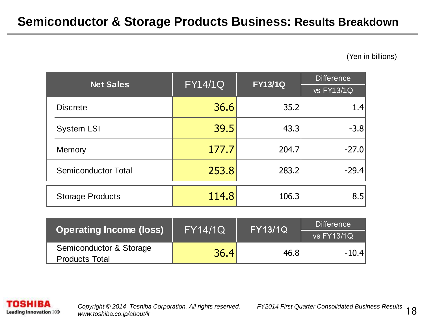(Yen in billions)

| <b>Net Sales</b>           | <b>FY14/1Q</b> | <b>FY13/1Q</b> | <b>Difference</b> |  |
|----------------------------|----------------|----------------|-------------------|--|
|                            |                |                |                   |  |
| <b>Discrete</b>            | 36.6           | 35.2           | 1.4               |  |
| <b>System LSI</b>          | 39.5           | 43.3           | $-3.8$            |  |
| Memory                     | 177.7          | 204.7          | $-27.0$           |  |
| <b>Semiconductor Total</b> | 253.8          | 283.2          | $-29.4$           |  |
| <b>Storage Products</b>    | 114.8          | 106.3          | 8.5               |  |

| <b>Operating Income (loss)</b> | <b>FY14/1Q</b> | <b>FY13/1Q</b> | <b>Difference</b> |  |
|--------------------------------|----------------|----------------|-------------------|--|
|                                |                |                | <b>vs FY13/1Q</b> |  |
| Semiconductor & Storage        | 36.4           | 46.8           | $-10.4$           |  |
| <b>Products Total</b>          |                |                |                   |  |

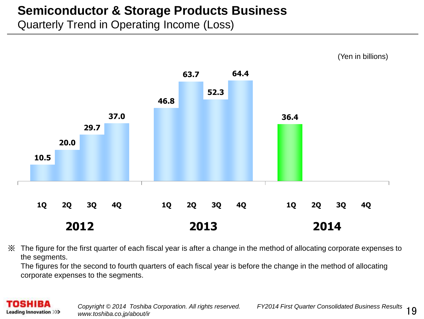#### **Semiconductor & Storage Products Business**

Quarterly Trend in Operating Income (Loss)



※ The figure for the first quarter of each fiscal year is after a change in the method of allocating corporate expenses to the segments.

The figures for the second to fourth quarters of each fiscal year is before the change in the method of allocating corporate expenses to the segments.

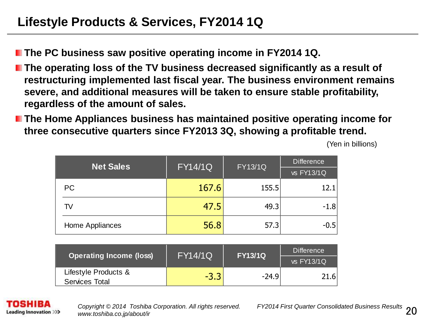**The PC business saw positive operating income in FY2014 1Q.** 

- **The operating loss of the TV business decreased significantly as a result of restructuring implemented last fiscal year. The business environment remains severe, and additional measures will be taken to ensure stable profitability, regardless of the amount of sales.**
- **The Home Appliances business has maintained positive operating income for three consecutive quarters since FY2013 3Q, showing a profitable trend.**

| <b>Net Sales</b> | $\overline{\mathrm{FY14/1Q}}$ | <b>FY13/1Q</b> | <b>Difference</b> |  |
|------------------|-------------------------------|----------------|-------------------|--|
|                  |                               |                | vs FY13/1Q        |  |
| <b>PC</b>        | 167.6                         | 155.5          | 12.1              |  |
| TV               | 47.5                          | 49.3           | $-1.8$            |  |
| Home Appliances  | 56.8                          | 57.3           | $-0.5$            |  |

(Yen in billions)

| <b>Operating Income (loss)</b> | <b>FY14/1Q</b> | <b>FY13/1Q</b> | <b>Difference</b> |  |
|--------------------------------|----------------|----------------|-------------------|--|
|                                |                |                | $vs$ FY13/1Q      |  |
| Lifestyle Products &           | $-3.3$         | $-24.9$        | 21.6              |  |
| <b>Services Total</b>          |                |                |                   |  |

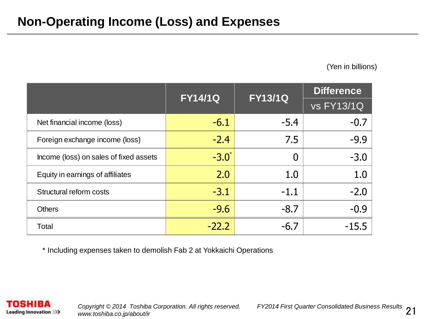(Yen in billions)

|                                        | <b>FY14/1Q</b>   | <b>FY13/1Q</b> | <b>Difference</b> |
|----------------------------------------|------------------|----------------|-------------------|
|                                        |                  |                | <b>vs FY13/1Q</b> |
| Net financial income (loss)            | $-6.1$           | $-5.4$         | $-0.7$            |
| Foreign exchange income (loss)         | $-2.4$           | 7.5            | $-9.9$            |
| Income (loss) on sales of fixed assets | $-3.0^{\degree}$ | $\overline{0}$ | $-3.0$            |
| Equity in earnings of affiliates       | 2.0              | 1.0            | 1.0               |
| Structural reform costs                | $-3.1$           | $-1.1$         | $-2.0$            |
| <b>Others</b>                          | $-9.6$           | $-8.7$         | $-0.9$            |
| Total                                  | $-22.2$          | $-6.7$         | $-15.5$           |

\* Including expenses taken to demolish Fab 2 at Yokkaichi Operations

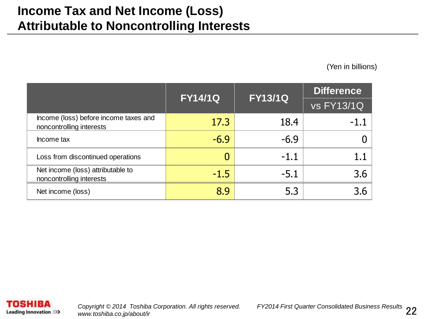### **Income Tax and Net Income (Loss) Attributable to Noncontrolling Interests**

(Yen in billions)

|                                                                   |        | <b>FY14/1Q</b><br><b>FY13/1Q</b> |                   |
|-------------------------------------------------------------------|--------|----------------------------------|-------------------|
|                                                                   |        |                                  | <b>vs FY13/1Q</b> |
| Income (loss) before income taxes and<br>noncontrolling interests | 17.3   | 18.4                             | $-1.1$            |
| Income tax                                                        | $-6.9$ | $-6.9$                           |                   |
| Loss from discontinued operations                                 |        | $-1.1$                           |                   |
| Net income (loss) attributable to<br>noncontrolling interests     | $-1.5$ | $-5.1$                           | 3.6               |
| Net income (loss)                                                 | 8.9    | 5.3                              | 3.6               |

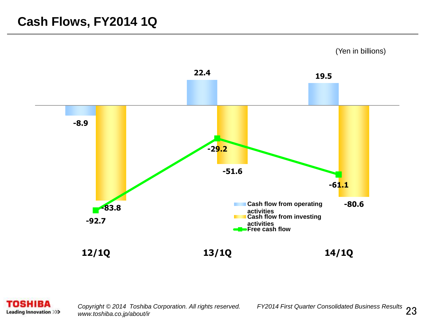#### **Cash Flows, FY2014 1Q**



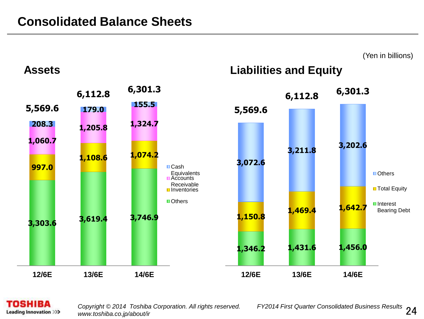

#### **TOSHIBA Leading Innovation >>>**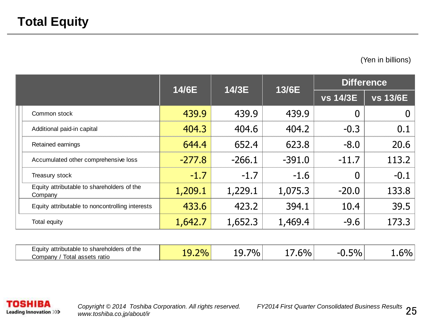(Yen in billions)

|                                                                            | 14/6E<br>14/3E |          | <b>Difference</b> |                 |                 |
|----------------------------------------------------------------------------|----------------|----------|-------------------|-----------------|-----------------|
|                                                                            |                |          | 13/6E             | <b>vs 14/3E</b> | <b>vs 13/6E</b> |
| Common stock                                                               | 439.9          | 439.9    | 439.9             | 0               | $\overline{0}$  |
| Additional paid-in capital                                                 | 404.3          | 404.6    | 404.2             | $-0.3$          | 0.1             |
| Retained earnings                                                          | 644.4          | 652.4    | 623.8             | $-8.0$          | 20.6            |
| Accumulated other comprehensive loss                                       | $-277.8$       | $-266.1$ | $-391.0$          | $-11.7$         | 113.2           |
| Treasury stock                                                             | $-1.7$         | $-1.7$   | $-1.6$            | 0               | $-0.1$          |
| Equity attributable to shareholders of the<br>Company                      | 1,209.1        | 1,229.1  | 1,075.3           | $-20.0$         | 133.8           |
| Equity attributable to noncontrolling interests                            | 433.6          | 423.2    | 394.1             | 10.4            | 39.5            |
| Total equity                                                               | 1,642.7        | 1,652.3  | 1,469.4           | $-9.6$          | 173.3           |
|                                                                            |                |          |                   |                 |                 |
| Equity attributable to shareholders of the<br>Company / Total assets ratio | 19.2%          | 19.7%    | 17.6%             | $-0.5%$         | 1.6%            |

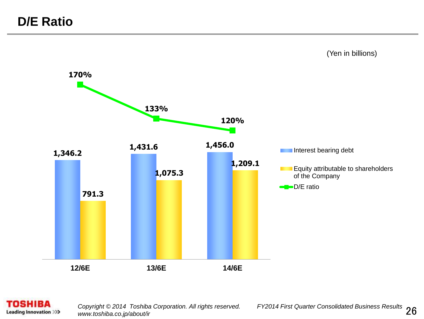

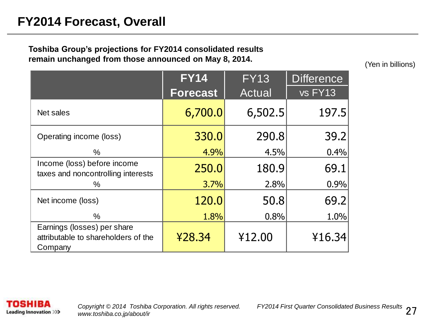#### **FY2014 Forecast, Overall**

#### **Toshiba Group's projections for FY2014 consolidated results remain unchanged from those announced on May 8, 2014.**

(Yen in billions)

|                                                                               | <b>FY14</b>     | <b>FY13</b> | <b>Difference</b> |
|-------------------------------------------------------------------------------|-----------------|-------------|-------------------|
|                                                                               | <b>Forecast</b> | Actual      | vs FY13           |
| Net sales                                                                     | 6,700.0         | 6,502.5     | 197.5             |
| Operating income (loss)                                                       | 330.0           | 290.8       | 39.2              |
| %                                                                             | 4.9%            | 4.5%        | 0.4%              |
| Income (loss) before income<br>taxes and noncontrolling interests             | 250.0           | 180.9       | 69.1              |
| ℅                                                                             | 3.7%            | 2.8%        | 0.9%              |
| Net income (loss)                                                             | 120.0           | 50.8        | 69.2              |
| $\%$                                                                          | 1.8%            | 0.8%        | 1.0%              |
| Earnings (losses) per share<br>attributable to shareholders of the<br>Company | ¥28.34          | ¥12.00      | ¥16.34            |

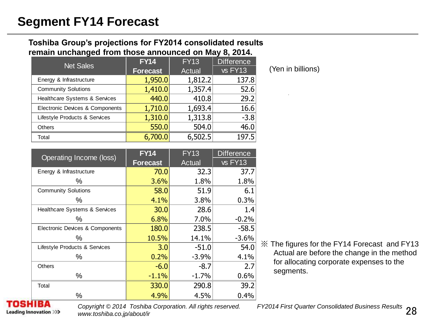#### **Toshiba Group's projections for FY2014 consolidated results remain unchanged from those announced on May 8, 2014.**

| <b>Net Sales</b>                | <b>FY14</b>     | <b>FY13</b>   | <b>Difference</b> |
|---------------------------------|-----------------|---------------|-------------------|
|                                 | <b>Forecast</b> | <b>Actual</b> | vs FY13           |
| Energy & Infrastructure         | 1,950.0         | 1,812.2       | 137.8             |
| <b>Community Solutions</b>      | 1,410.0         | 1,357.4       | 52.6              |
| Healthcare Systems & Services   | 440.0           | 410.8         | 29.2              |
| Electronic Devices & Components | 1,710.0         | 1,693.4       | 16.6              |
| Lifestyle Products & Services   | 1,310.0         | 1,313.8       | $-3.8$            |
| <b>Others</b>                   | 550.0           | 504.0         | 46.0              |
| Total                           | 6,700.0         | 6,502.5       | 197.5             |

(Yen in billions)

| Operating Income (loss)                  | <b>FY14</b>     | <b>FY13</b> | <b>Difference</b> |
|------------------------------------------|-----------------|-------------|-------------------|
|                                          | <b>Forecast</b> | Actual      | vs FY13           |
| Energy & Infrastructure                  | 70.0            | 32.3        | 37.7              |
| %                                        | 3.6%            | 1.8%        | 1.8%              |
| <b>Community Solutions</b>               | 58.0            | 51.9        | 6.1               |
| %                                        | 4.1%            | 3.8%        | 0.3%              |
| <b>Healthcare Systems &amp; Services</b> | 30.0            | 28.6        | 1.4               |
| ℅                                        | 6.8%            | 7.0%        | $-0.2%$           |
| Electronic Devices & Components          | 180.0           | 238.5       | $-58.5$           |
| ℅                                        | 10.5%           | 14.1%       | $-3.6%$           |
| Lifestyle Products & Services            | 3.0             | $-51.0$     | 54.0              |
| ℅                                        | 0.2%            | $-3.9%$     | 4.1%              |
| <b>Others</b>                            | $-6.0$          | $-8.7$      | 2.7               |
| ℅                                        | $-1.1%$         | $-1.7%$     | 0.6%              |
| Total                                    | 330.0           | 290.8       | 39.2              |
| %                                        | 4.9%            | 4.5%        | 0.4%              |

※ The figures for the FY14 Forecast and FY13 Actual are before the change in the method for allocating corporate expenses to the segments.

**Leading Innovation >>>** 

*Copyright © 2014 Toshiba Corporation. All rights reserved. www.toshiba.co.jp/about/ir*

FY2014 First Quarter Consolidated Business Results 28